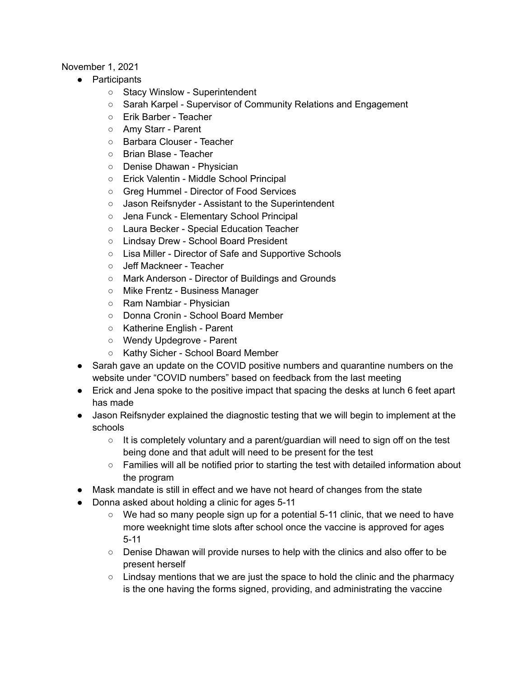## November 1, 2021

- Participants
	- Stacy Winslow Superintendent
	- Sarah Karpel Supervisor of Community Relations and Engagement
	- Erik Barber Teacher
	- Amy Starr Parent
	- Barbara Clouser Teacher
	- Brian Blase Teacher
	- Denise Dhawan Physician
	- Erick Valentin Middle School Principal
	- Greg Hummel Director of Food Services
	- Jason Reifsnyder Assistant to the Superintendent
	- Jena Funck Elementary School Principal
	- Laura Becker Special Education Teacher
	- Lindsay Drew School Board President
	- Lisa Miller Director of Safe and Supportive Schools
	- Jeff Mackneer Teacher
	- Mark Anderson Director of Buildings and Grounds
	- Mike Frentz Business Manager
	- Ram Nambiar Physician
	- Donna Cronin School Board Member
	- Katherine English Parent
	- Wendy Updegrove Parent
	- Kathy Sicher School Board Member
- Sarah gave an update on the COVID positive numbers and quarantine numbers on the website under "COVID numbers" based on feedback from the last meeting
- Erick and Jena spoke to the positive impact that spacing the desks at lunch 6 feet apart has made
- Jason Reifsnyder explained the diagnostic testing that we will begin to implement at the schools
	- $\circ$  It is completely voluntary and a parent/guardian will need to sign off on the test being done and that adult will need to be present for the test
	- Families will all be notified prior to starting the test with detailed information about the program
- Mask mandate is still in effect and we have not heard of changes from the state
- Donna asked about holding a clinic for ages 5-11
	- $\circ$  We had so many people sign up for a potential 5-11 clinic, that we need to have more weeknight time slots after school once the vaccine is approved for ages 5-11
	- Denise Dhawan will provide nurses to help with the clinics and also offer to be present herself
	- $\circ$  Lindsay mentions that we are just the space to hold the clinic and the pharmacy is the one having the forms signed, providing, and administrating the vaccine